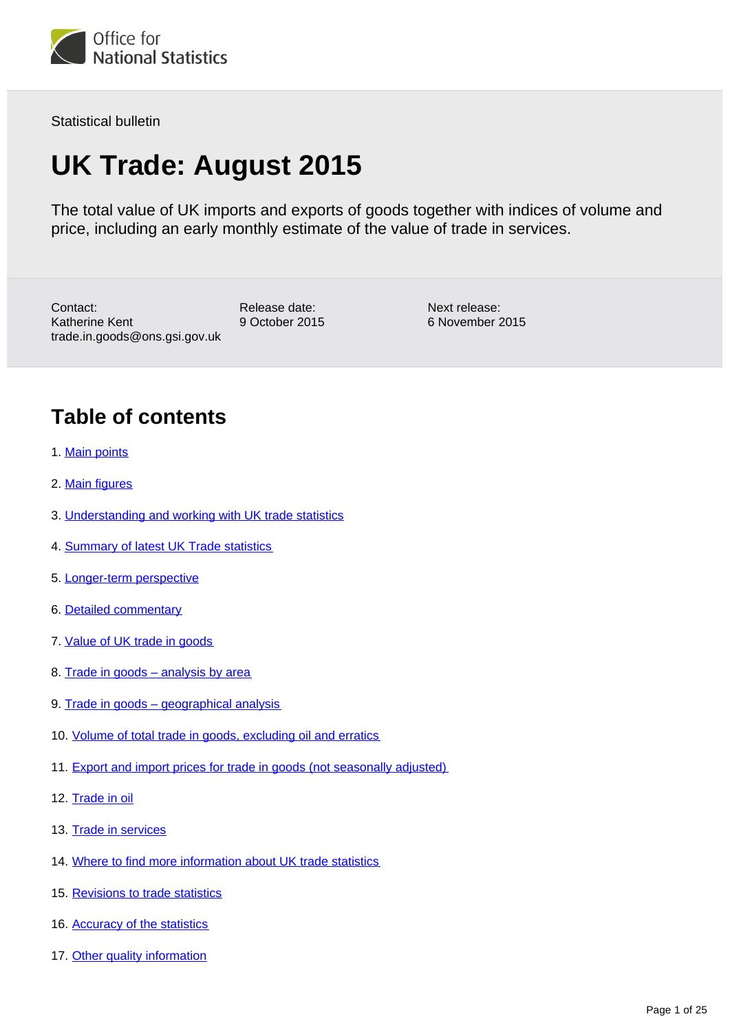

Statistical bulletin

# **UK Trade: August 2015**

The total value of UK imports and exports of goods together with indices of volume and price, including an early monthly estimate of the value of trade in services.

Contact: Katherine Kent trade.in.goods@ons.gsi.gov.uk Release date: 9 October 2015 Next release: 6 November 2015

# **Table of contents**

- 1. [Main points](#page-2-0)
- 2. [Main figures](#page-2-1)
- 3. [Understanding and working with UK trade statistics](#page-3-0)
- 4. [Summary of latest UK Trade statistics](#page-5-0)
- 5. [Longer-term perspective](#page-6-0)
- 6. [Detailed commentary](#page-6-1)
- 7. [Value of UK trade in goods](#page-7-0)
- 8. Trade in goods analysis by area
- 9. Trade in goods geographical analysis
- 10. [Volume of total trade in goods, excluding oil and erratics](#page-12-0)
- 11. [Export and import prices for trade in goods \(not seasonally adjusted\)](#page-13-0)
- 12. [Trade in oil](#page-14-0)
- 13. [Trade in services](#page-15-0)
- 14. [Where to find more information about UK trade statistics](#page-17-0)
- 15. [Revisions to trade statistics](#page-19-0)
- 16. [Accuracy of the statistics](#page-21-0)
- 17. [Other quality information](#page-21-1)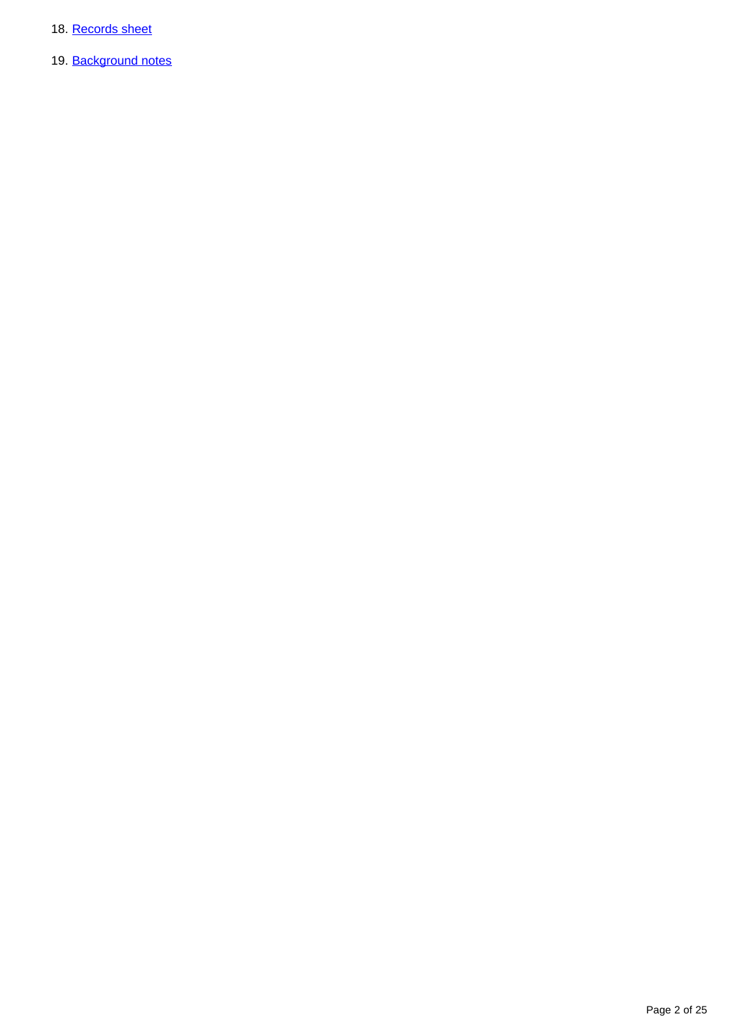- 18. [Records sheet](#page-23-0)
- 19. [Background notes](#page-23-1)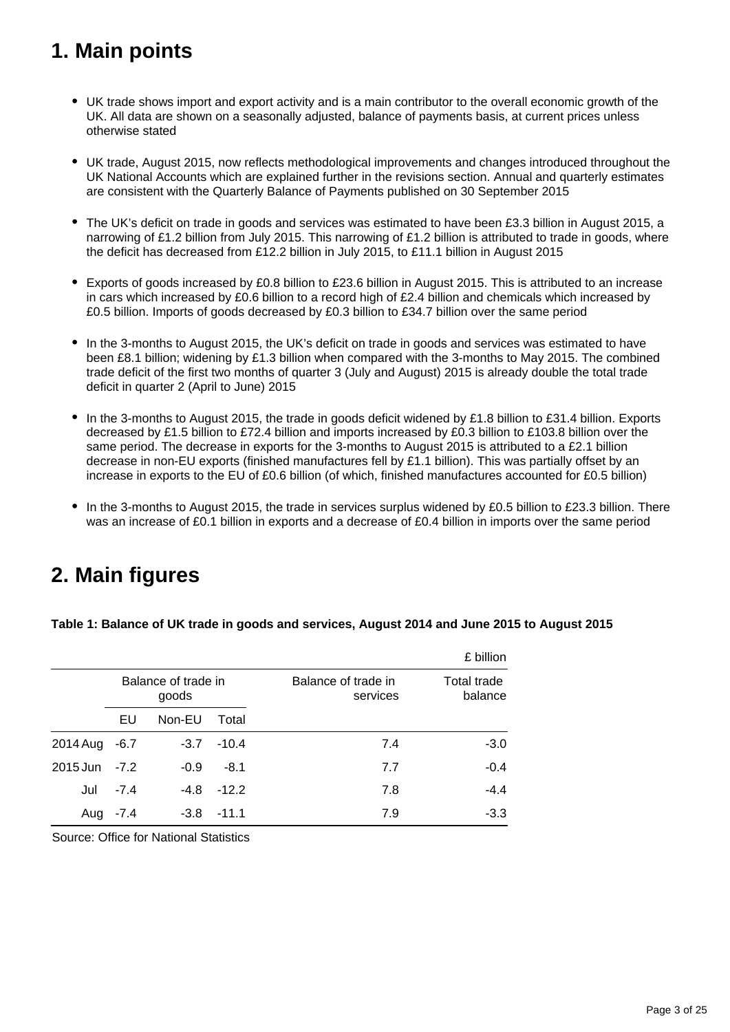# <span id="page-2-0"></span>**1. Main points**

- UK trade shows import and export activity and is a main contributor to the overall economic growth of the UK. All data are shown on a seasonally adjusted, balance of payments basis, at current prices unless otherwise stated
- UK trade, August 2015, now reflects methodological improvements and changes introduced throughout the UK National Accounts which are explained further in the revisions section. Annual and quarterly estimates are consistent with the Quarterly Balance of Payments published on 30 September 2015
- The UK's deficit on trade in goods and services was estimated to have been £3.3 billion in August 2015, a narrowing of £1.2 billion from July 2015. This narrowing of £1.2 billion is attributed to trade in goods, where the deficit has decreased from £12.2 billion in July 2015, to £11.1 billion in August 2015
- Exports of goods increased by £0.8 billion to £23.6 billion in August 2015. This is attributed to an increase in cars which increased by £0.6 billion to a record high of £2.4 billion and chemicals which increased by £0.5 billion. Imports of goods decreased by £0.3 billion to £34.7 billion over the same period
- In the 3-months to August 2015, the UK's deficit on trade in goods and services was estimated to have been £8.1 billion; widening by £1.3 billion when compared with the 3-months to May 2015. The combined trade deficit of the first two months of quarter 3 (July and August) 2015 is already double the total trade deficit in quarter 2 (April to June) 2015
- In the 3-months to August 2015, the trade in goods deficit widened by £1.8 billion to £31.4 billion. Exports decreased by £1.5 billion to £72.4 billion and imports increased by £0.3 billion to £103.8 billion over the same period. The decrease in exports for the 3-months to August 2015 is attributed to a £2.1 billion decrease in non-EU exports (finished manufactures fell by £1.1 billion). This was partially offset by an increase in exports to the EU of £0.6 billion (of which, finished manufactures accounted for £0.5 billion)
- In the 3-months to August 2015, the trade in services surplus widened by £0.5 billion to £23.3 billion. There was an increase of £0.1 billion in exports and a decrease of £0.4 billion in imports over the same period

# <span id="page-2-1"></span>**2. Main figures**

**Table 1: Balance of UK trade in goods and services, August 2014 and June 2015 to August 2015**

|          |                              |        |         |                                 | £ billion                     |
|----------|------------------------------|--------|---------|---------------------------------|-------------------------------|
|          | Balance of trade in<br>goods |        |         | Balance of trade in<br>services | <b>Total trade</b><br>balance |
|          | EU                           | Non-EU | Total   |                                 |                               |
| 2014 Aug | $-6.7$                       | $-3.7$ | $-10.4$ | 7.4                             | $-3.0$                        |
| 2015 Jun | $-7.2$                       | $-0.9$ | $-8.1$  | 7.7                             | $-0.4$                        |
| Jul      | $-7.4$                       | -4.8   | $-12.2$ | 7.8                             | $-4.4$                        |
| Aug      | $-7.4$                       | $-3.8$ | --11.1  | 7.9                             | $-3.3$                        |

Source: Office for National Statistics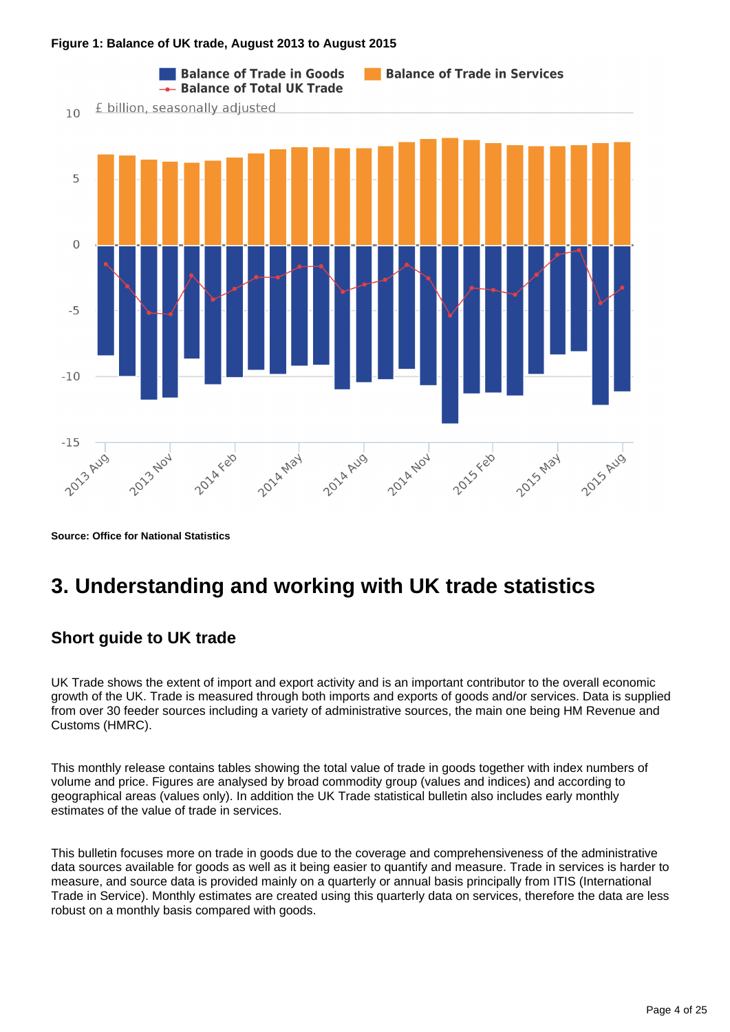#### **Figure 1: Balance of UK trade, August 2013 to August 2015**



**Source: Office for National Statistics**

# <span id="page-3-0"></span>**3. Understanding and working with UK trade statistics**

## **Short guide to UK trade**

UK Trade shows the extent of import and export activity and is an important contributor to the overall economic growth of the UK. Trade is measured through both imports and exports of goods and/or services. Data is supplied from over 30 feeder sources including a variety of administrative sources, the main one being HM Revenue and Customs (HMRC).

This monthly release contains tables showing the total value of trade in goods together with index numbers of volume and price. Figures are analysed by broad commodity group (values and indices) and according to geographical areas (values only). In addition the UK Trade statistical bulletin also includes early monthly estimates of the value of trade in services.

This bulletin focuses more on trade in goods due to the coverage and comprehensiveness of the administrative data sources available for goods as well as it being easier to quantify and measure. Trade in services is harder to measure, and source data is provided mainly on a quarterly or annual basis principally from ITIS (International Trade in Service). Monthly estimates are created using this quarterly data on services, therefore the data are less robust on a monthly basis compared with goods.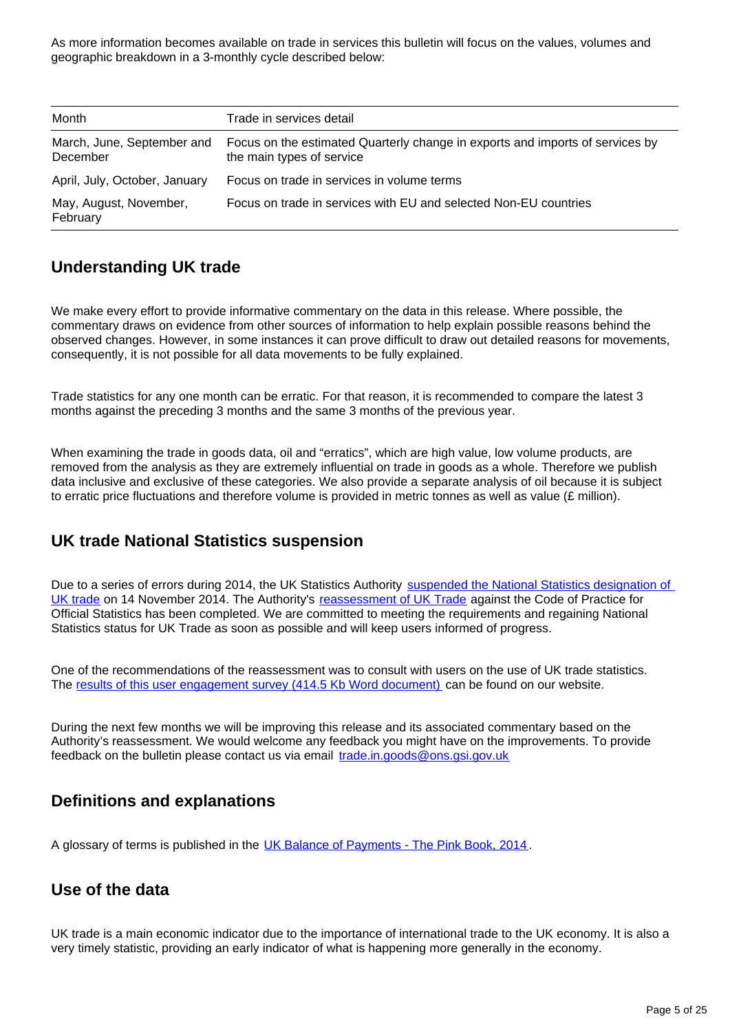As more information becomes available on trade in services this bulletin will focus on the values, volumes and geographic breakdown in a 3-monthly cycle described below:

| Month                                  | Trade in services detail                                                                                   |
|----------------------------------------|------------------------------------------------------------------------------------------------------------|
| March, June, September and<br>December | Focus on the estimated Quarterly change in exports and imports of services by<br>the main types of service |
| April, July, October, January          | Focus on trade in services in volume terms                                                                 |
| May, August, November,<br>February     | Focus on trade in services with EU and selected Non-EU countries                                           |

## **Understanding UK trade**

We make every effort to provide informative commentary on the data in this release. Where possible, the commentary draws on evidence from other sources of information to help explain possible reasons behind the observed changes. However, in some instances it can prove difficult to draw out detailed reasons for movements, consequently, it is not possible for all data movements to be fully explained.

Trade statistics for any one month can be erratic. For that reason, it is recommended to compare the latest 3 months against the preceding 3 months and the same 3 months of the previous year.

When examining the trade in goods data, oil and "erratics", which are high value, low volume products, are removed from the analysis as they are extremely influential on trade in goods as a whole. Therefore we publish data inclusive and exclusive of these categories. We also provide a separate analysis of oil because it is subject to erratic price fluctuations and therefore volume is provided in metric tonnes as well as value (£ million).

## **UK trade National Statistics suspension**

Due to a series of errors during 2014, the UK Statistics Authority suspended the National Statistics designation of [UK trade](http://www.statisticsauthority.gov.uk/reports---correspondence/correspondence/letter-from-sir-andrew-dilnot-to-john-pullinger-141114.pdf) on 14 November 2014. The Authority's [reassessment of UK Trade](http://www.statisticsauthority.gov.uk/assessment/assessment/assessment-reports/index.html) against the Code of Practice for Official Statistics has been completed. We are committed to meeting the requirements and regaining National Statistics status for UK Trade as soon as possible and will keep users informed of progress.

One of the recommendations of the reassessment was to consult with users on the use of UK trade statistics. The [results of this user engagement survey \(414.5 Kb Word document\)](http://www.ons.gov.uk/ons/about-ons/get-involved/consultations-and-user-surveys/consultations/uk-trade-survey/feedback-from-consultations-on-ons-uk-trade-outputs.doc?format=contrast) can be found on our website.

During the next few months we will be improving this release and its associated commentary based on the Authority's reassessment. We would welcome any feedback you might have on the improvements. To provide feedback on the bulletin please contact us via email trade.in.goods@ons.gsi.gov.uk

## **Definitions and explanations**

A glossary of terms is published in the [UK Balance of Payments - The Pink Book, 2014](http://www.ons.gov.uk/ons/rel/bop/united-kingdom-balance-of-payments/2014/index.html?format=contrast).

### **Use of the data**

UK trade is a main economic indicator due to the importance of international trade to the UK economy. It is also a very timely statistic, providing an early indicator of what is happening more generally in the economy.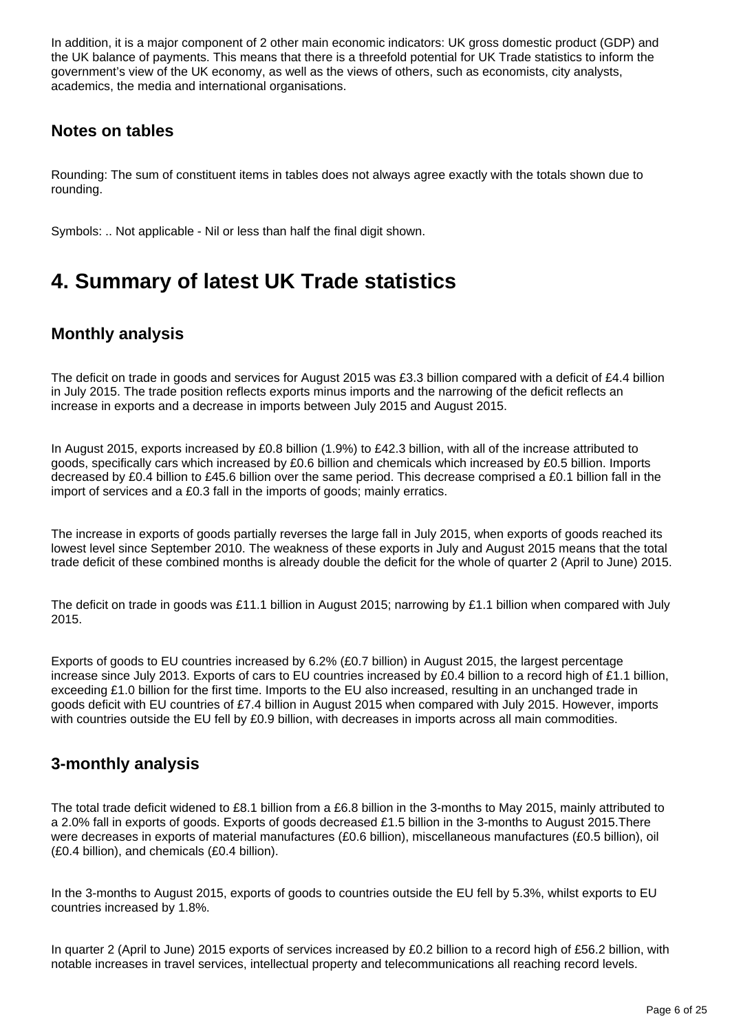In addition, it is a major component of 2 other main economic indicators: UK gross domestic product (GDP) and the UK balance of payments. This means that there is a threefold potential for UK Trade statistics to inform the government's view of the UK economy, as well as the views of others, such as economists, city analysts, academics, the media and international organisations.

## **Notes on tables**

Rounding: The sum of constituent items in tables does not always agree exactly with the totals shown due to rounding.

Symbols: .. Not applicable - Nil or less than half the final digit shown.

# <span id="page-5-0"></span>**4. Summary of latest UK Trade statistics**

## **Monthly analysis**

The deficit on trade in goods and services for August 2015 was £3.3 billion compared with a deficit of £4.4 billion in July 2015. The trade position reflects exports minus imports and the narrowing of the deficit reflects an increase in exports and a decrease in imports between July 2015 and August 2015.

In August 2015, exports increased by £0.8 billion (1.9%) to £42.3 billion, with all of the increase attributed to goods, specifically cars which increased by £0.6 billion and chemicals which increased by £0.5 billion. Imports decreased by £0.4 billion to £45.6 billion over the same period. This decrease comprised a £0.1 billion fall in the import of services and a £0.3 fall in the imports of goods; mainly erratics.

The increase in exports of goods partially reverses the large fall in July 2015, when exports of goods reached its lowest level since September 2010. The weakness of these exports in July and August 2015 means that the total trade deficit of these combined months is already double the deficit for the whole of quarter 2 (April to June) 2015.

The deficit on trade in goods was £11.1 billion in August 2015; narrowing by £1.1 billion when compared with July 2015.

Exports of goods to EU countries increased by 6.2% (£0.7 billion) in August 2015, the largest percentage increase since July 2013. Exports of cars to EU countries increased by £0.4 billion to a record high of £1.1 billion, exceeding £1.0 billion for the first time. Imports to the EU also increased, resulting in an unchanged trade in goods deficit with EU countries of £7.4 billion in August 2015 when compared with July 2015. However, imports with countries outside the EU fell by £0.9 billion, with decreases in imports across all main commodities.

## **3-monthly analysis**

The total trade deficit widened to £8.1 billion from a £6.8 billion in the 3-months to May 2015, mainly attributed to a 2.0% fall in exports of goods. Exports of goods decreased £1.5 billion in the 3-months to August 2015.There were decreases in exports of material manufactures (£0.6 billion), miscellaneous manufactures (£0.5 billion), oil (£0.4 billion), and chemicals (£0.4 billion).

In the 3-months to August 2015, exports of goods to countries outside the EU fell by 5.3%, whilst exports to EU countries increased by 1.8%.

In quarter 2 (April to June) 2015 exports of services increased by £0.2 billion to a record high of £56.2 billion, with notable increases in travel services, intellectual property and telecommunications all reaching record levels.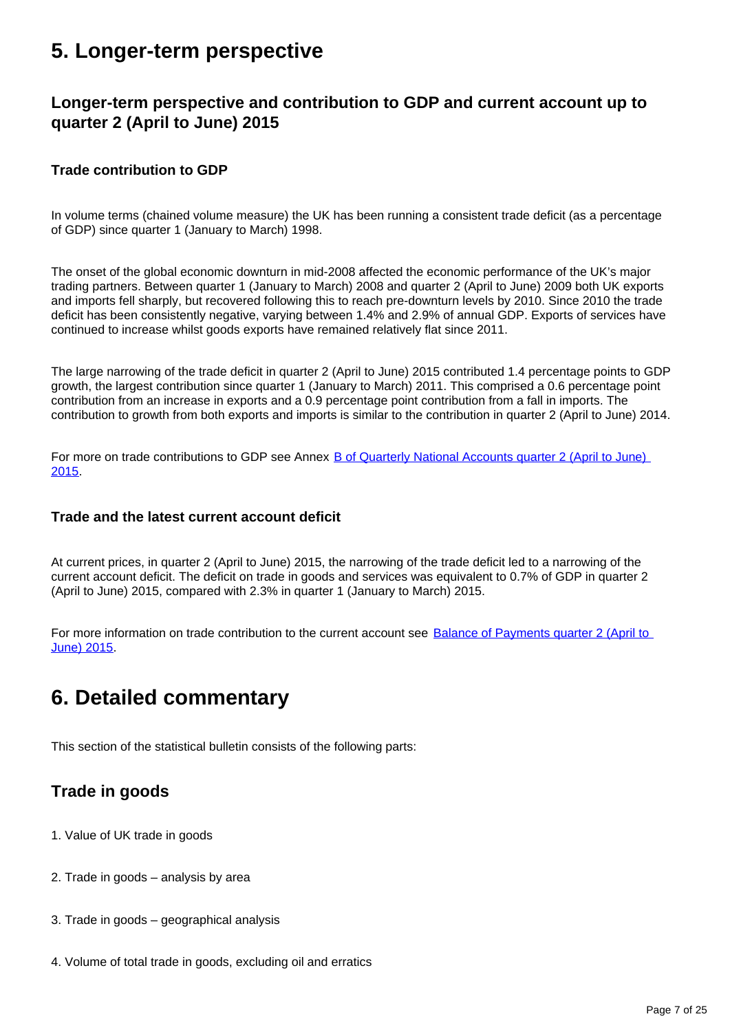# <span id="page-6-0"></span>**5. Longer-term perspective**

## **Longer-term perspective and contribution to GDP and current account up to quarter 2 (April to June) 2015**

### **Trade contribution to GDP**

In volume terms (chained volume measure) the UK has been running a consistent trade deficit (as a percentage of GDP) since quarter 1 (January to March) 1998.

The onset of the global economic downturn in mid-2008 affected the economic performance of the UK's major trading partners. Between quarter 1 (January to March) 2008 and quarter 2 (April to June) 2009 both UK exports and imports fell sharply, but recovered following this to reach pre-downturn levels by 2010. Since 2010 the trade deficit has been consistently negative, varying between 1.4% and 2.9% of annual GDP. Exports of services have continued to increase whilst goods exports have remained relatively flat since 2011.

The large narrowing of the trade deficit in quarter 2 (April to June) 2015 contributed 1.4 percentage points to GDP growth, the largest contribution since quarter 1 (January to March) 2011. This comprised a 0.6 percentage point contribution from an increase in exports and a 0.9 percentage point contribution from a fall in imports. The contribution to growth from both exports and imports is similar to the contribution in quarter 2 (April to June) 2014.

For more on trade contributions to GDP see Annex [B of Quarterly National Accounts quarter 2 \(April to June\)](http://www.ons.gov.uk/ons/rel/naa2/quarterly-national-accounts/q2-2015/index.html?format=contrast)  [2015](http://www.ons.gov.uk/ons/rel/naa2/quarterly-national-accounts/q2-2015/index.html?format=contrast).

### **Trade and the latest current account deficit**

At current prices, in quarter 2 (April to June) 2015, the narrowing of the trade deficit led to a narrowing of the current account deficit. The deficit on trade in goods and services was equivalent to 0.7% of GDP in quarter 2 (April to June) 2015, compared with 2.3% in quarter 1 (January to March) 2015.

For more information on trade contribution to the current account see Balance of Payments quarter 2 (April to [June\) 2015](http://www.ons.gov.uk/ons/rel/bop/balance-of-payments/q2-2015/index.html?format=contrast).

# <span id="page-6-1"></span>**6. Detailed commentary**

This section of the statistical bulletin consists of the following parts:

## **Trade in goods**

- 1. Value of UK trade in goods
- 2. Trade in goods analysis by area
- 3. Trade in goods geographical analysis
- 4. Volume of total trade in goods, excluding oil and erratics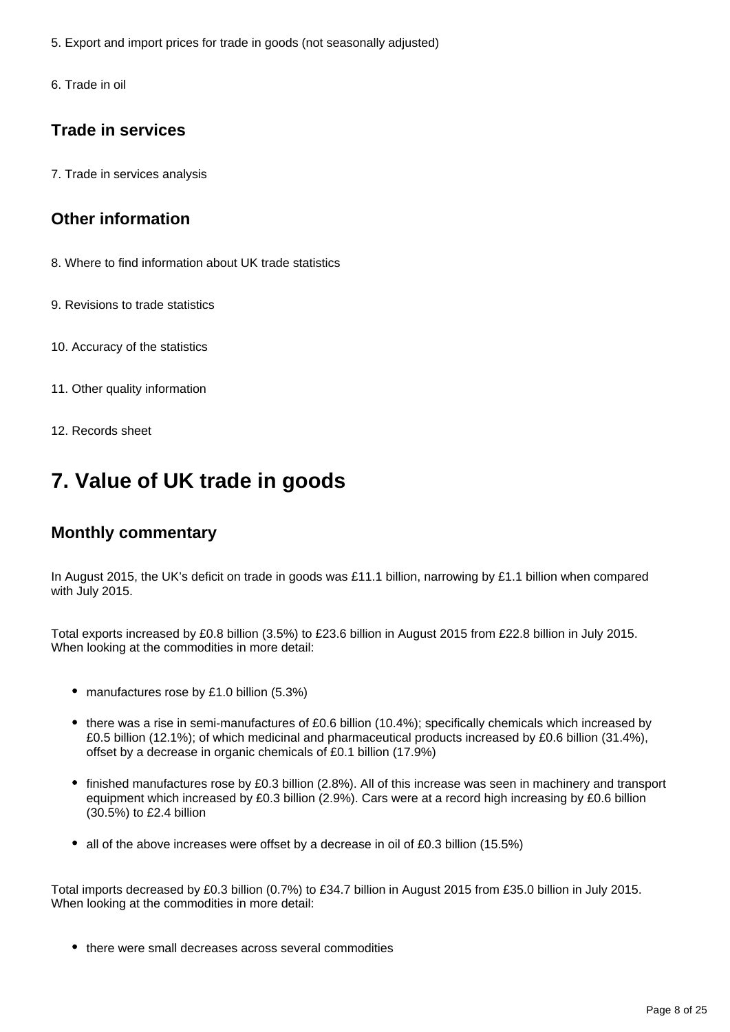- 5. Export and import prices for trade in goods (not seasonally adjusted)
- 6. Trade in oil

## **Trade in services**

7. Trade in services analysis

## **Other information**

- 8. Where to find information about UK trade statistics
- 9. Revisions to trade statistics
- 10. Accuracy of the statistics
- 11. Other quality information
- 12. Records sheet

# <span id="page-7-0"></span>**7. Value of UK trade in goods**

## **Monthly commentary**

In August 2015, the UK's deficit on trade in goods was £11.1 billion, narrowing by £1.1 billion when compared with July 2015.

Total exports increased by £0.8 billion (3.5%) to £23.6 billion in August 2015 from £22.8 billion in July 2015. When looking at the commodities in more detail:

- manufactures rose by £1.0 billion (5.3%)
- there was a rise in semi-manufactures of £0.6 billion (10.4%); specifically chemicals which increased by £0.5 billion (12.1%); of which medicinal and pharmaceutical products increased by £0.6 billion (31.4%), offset by a decrease in organic chemicals of £0.1 billion (17.9%)
- finished manufactures rose by £0.3 billion (2.8%). All of this increase was seen in machinery and transport equipment which increased by £0.3 billion (2.9%). Cars were at a record high increasing by £0.6 billion (30.5%) to £2.4 billion
- all of the above increases were offset by a decrease in oil of £0.3 billion (15.5%)

Total imports decreased by £0.3 billion (0.7%) to £34.7 billion in August 2015 from £35.0 billion in July 2015. When looking at the commodities in more detail:

• there were small decreases across several commodities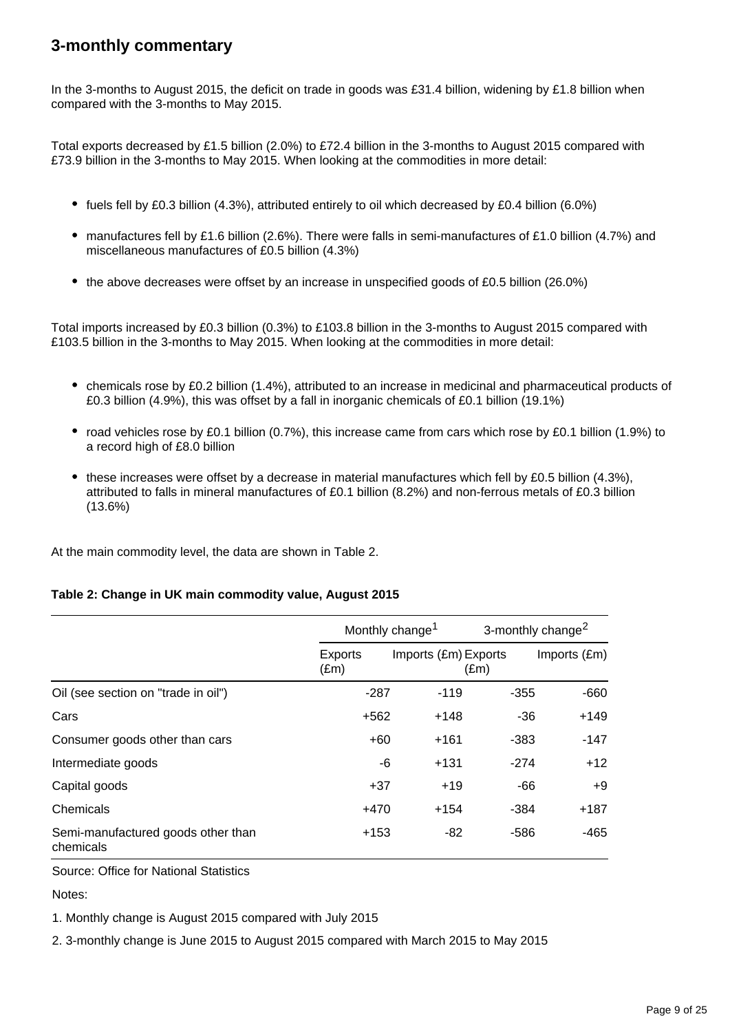## **3-monthly commentary**

In the 3-months to August 2015, the deficit on trade in goods was £31.4 billion, widening by £1.8 billion when compared with the 3-months to May 2015.

Total exports decreased by £1.5 billion (2.0%) to £72.4 billion in the 3-months to August 2015 compared with £73.9 billion in the 3-months to May 2015. When looking at the commodities in more detail:

- fuels fell by £0.3 billion (4.3%), attributed entirely to oil which decreased by £0.4 billion (6.0%)
- manufactures fell by £1.6 billion (2.6%). There were falls in semi-manufactures of £1.0 billion (4.7%) and miscellaneous manufactures of £0.5 billion (4.3%)
- the above decreases were offset by an increase in unspecified goods of £0.5 billion (26.0%)

Total imports increased by £0.3 billion (0.3%) to £103.8 billion in the 3-months to August 2015 compared with £103.5 billion in the 3-months to May 2015. When looking at the commodities in more detail:

- chemicals rose by £0.2 billion (1.4%), attributed to an increase in medicinal and pharmaceutical products of £0.3 billion (4.9%), this was offset by a fall in inorganic chemicals of £0.1 billion (19.1%)
- road vehicles rose by £0.1 billion (0.7%), this increase came from cars which rose by £0.1 billion (1.9%) to a record high of £8.0 billion
- these increases were offset by a decrease in material manufactures which fell by £0.5 billion (4.3%), attributed to falls in mineral manufactures of £0.1 billion (8.2%) and non-ferrous metals of £0.3 billion (13.6%)

At the main commodity level, the data are shown in Table 2.

### **Table 2: Change in UK main commodity value, August 2015**

|                                                 | Monthly change <sup>1</sup> |                      | 3-monthly change <sup>2</sup> |              |
|-------------------------------------------------|-----------------------------|----------------------|-------------------------------|--------------|
|                                                 | Exports<br>$(\text{Em})$    | Imports (£m) Exports | $(\text{Em})$                 | Imports (£m) |
| Oil (see section on "trade in oil")             | $-287$                      | $-119$               | $-355$                        | $-660$       |
| Cars                                            | $+562$                      | $+148$               | -36                           | $+149$       |
| Consumer goods other than cars                  | $+60$                       | $+161$               | $-383$                        | $-147$       |
| Intermediate goods                              | -6                          | $+131$               | $-274$                        | $+12$        |
| Capital goods                                   | $+37$                       | $+19$                | $-66$                         | $+9$         |
| Chemicals                                       | $+470$                      | $+154$               | $-384$                        | $+187$       |
| Semi-manufactured goods other than<br>chemicals | $+153$                      | -82                  | $-586$                        | $-465$       |

Source: Office for National Statistics

Notes:

1. Monthly change is August 2015 compared with July 2015

2. 3-monthly change is June 2015 to August 2015 compared with March 2015 to May 2015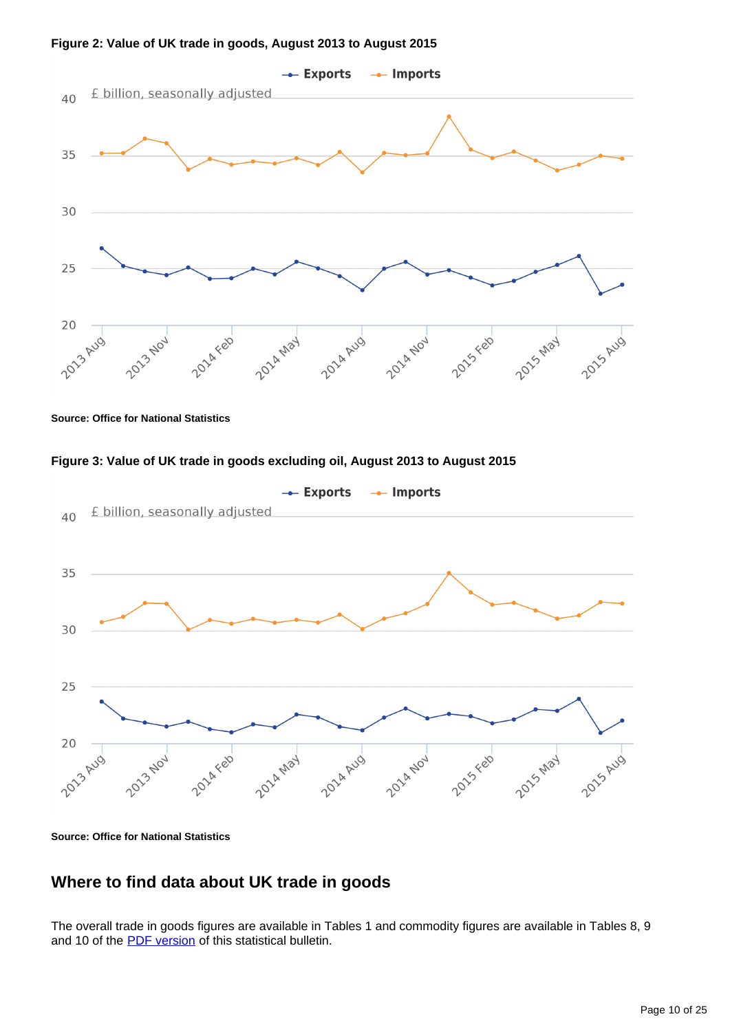

**Figure 2: Value of UK trade in goods, August 2013 to August 2015**



**Source: Office for National Statistics**





**Source: Office for National Statistics**

## **Where to find data about UK trade in goods**

The overall trade in goods figures are available in Tables 1 and commodity figures are available in Tables 8, 9 and 10 of the **PDF** version of this statistical bulletin.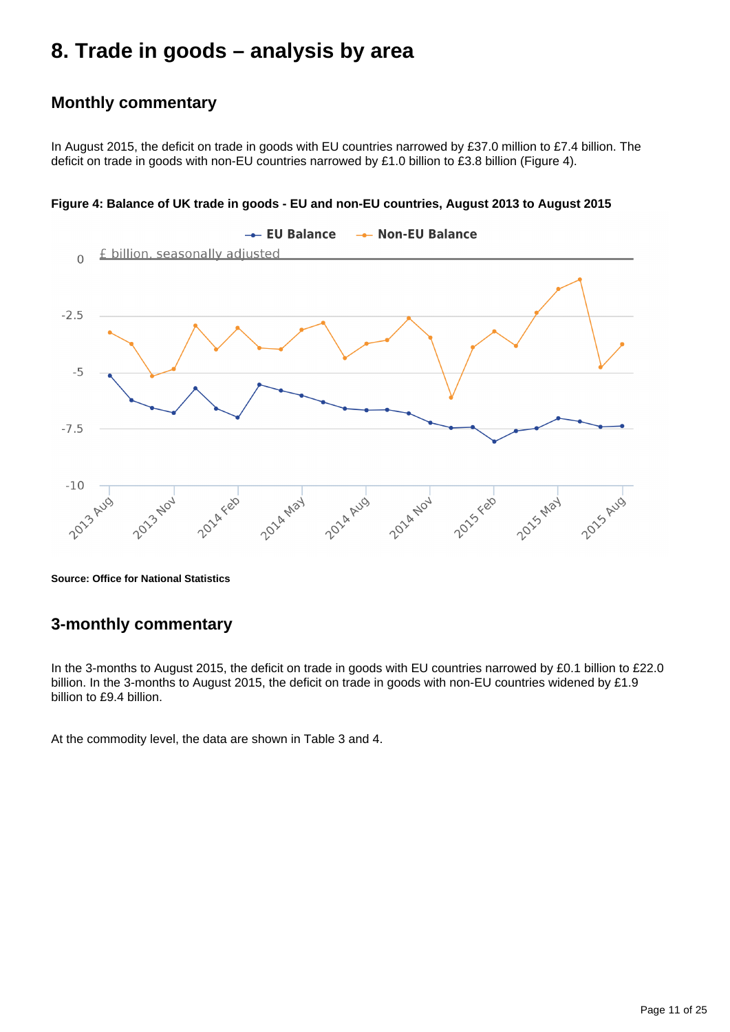# <span id="page-10-0"></span>**8. Trade in goods – analysis by area**

## **Monthly commentary**

In August 2015, the deficit on trade in goods with EU countries narrowed by £37.0 million to £7.4 billion. The deficit on trade in goods with non-EU countries narrowed by £1.0 billion to £3.8 billion (Figure 4).



**Figure 4: Balance of UK trade in goods - EU and non-EU countries, August 2013 to August 2015**

**Source: Office for National Statistics**

## **3-monthly commentary**

In the 3-months to August 2015, the deficit on trade in goods with EU countries narrowed by £0.1 billion to £22.0 billion. In the 3-months to August 2015, the deficit on trade in goods with non-EU countries widened by £1.9 billion to £9.4 billion.

At the commodity level, the data are shown in Table 3 and 4.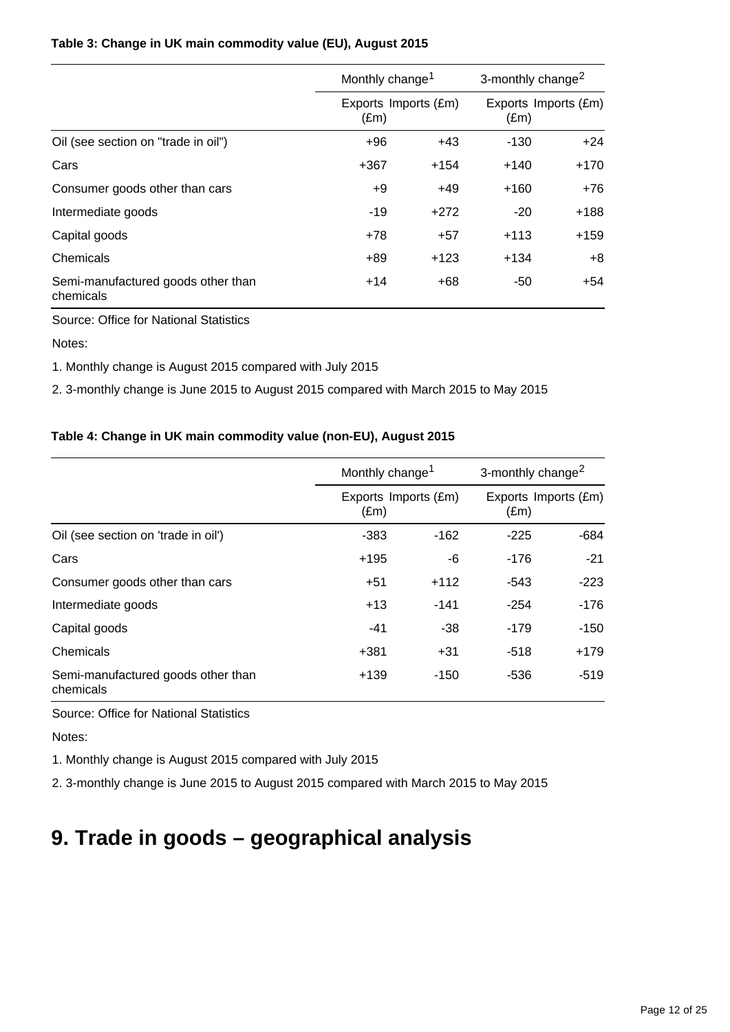### **Table 3: Change in UK main commodity value (EU), August 2015**

|                                                 | Monthly change <sup>1</sup> |                      | 3-monthly change <sup>2</sup> |                      |
|-------------------------------------------------|-----------------------------|----------------------|-------------------------------|----------------------|
|                                                 | $(\text{Em})$               | Exports Imports (£m) | $(\text{Em})$                 | Exports Imports (£m) |
| Oil (see section on "trade in oil")             | $+96$                       | $+43$                | $-130$                        | $+24$                |
| Cars                                            | $+367$                      | $+154$               | $+140$                        | $+170$               |
| Consumer goods other than cars                  | +9                          | $+49$                | $+160$                        | $+76$                |
| Intermediate goods                              | $-19$                       | $+272$               | $-20$                         | $+188$               |
| Capital goods                                   | $+78$                       | $+57$                | $+113$                        | $+159$               |
| Chemicals                                       | $+89$                       | $+123$               | $+134$                        | $+8$                 |
| Semi-manufactured goods other than<br>chemicals | $+14$                       | $+68$                | -50                           | +54                  |

Source: Office for National Statistics

Notes:

1. Monthly change is August 2015 compared with July 2015

2. 3-monthly change is June 2015 to August 2015 compared with March 2015 to May 2015

### **Table 4: Change in UK main commodity value (non-EU), August 2015**

|                                                 |                                       | Monthly change <sup>1</sup> |               | 3-monthly change <sup>2</sup> |  |
|-------------------------------------------------|---------------------------------------|-----------------------------|---------------|-------------------------------|--|
|                                                 | Exports Imports (£m)<br>$(\text{Em})$ |                             | $(\text{Em})$ | Exports Imports (£m)          |  |
| Oil (see section on 'trade in oil')             | $-383$                                | $-162$                      | $-225$        | $-684$                        |  |
| Cars                                            | $+195$                                | -6                          | -176          | $-21$                         |  |
| Consumer goods other than cars                  | $+51$                                 | $+112$                      | $-543$        | $-223$                        |  |
| Intermediate goods                              | $+13$                                 | $-141$                      | $-254$        | $-176$                        |  |
| Capital goods                                   | $-41$                                 | -38                         | $-179$        | -150                          |  |
| Chemicals                                       | $+381$                                | $+31$                       | $-518$        | $+179$                        |  |
| Semi-manufactured goods other than<br>chemicals | $+139$                                | $-150$                      | -536          | $-519$                        |  |

Source: Office for National Statistics

Notes:

1. Monthly change is August 2015 compared with July 2015

2. 3-monthly change is June 2015 to August 2015 compared with March 2015 to May 2015

# <span id="page-11-0"></span>**9. Trade in goods – geographical analysis**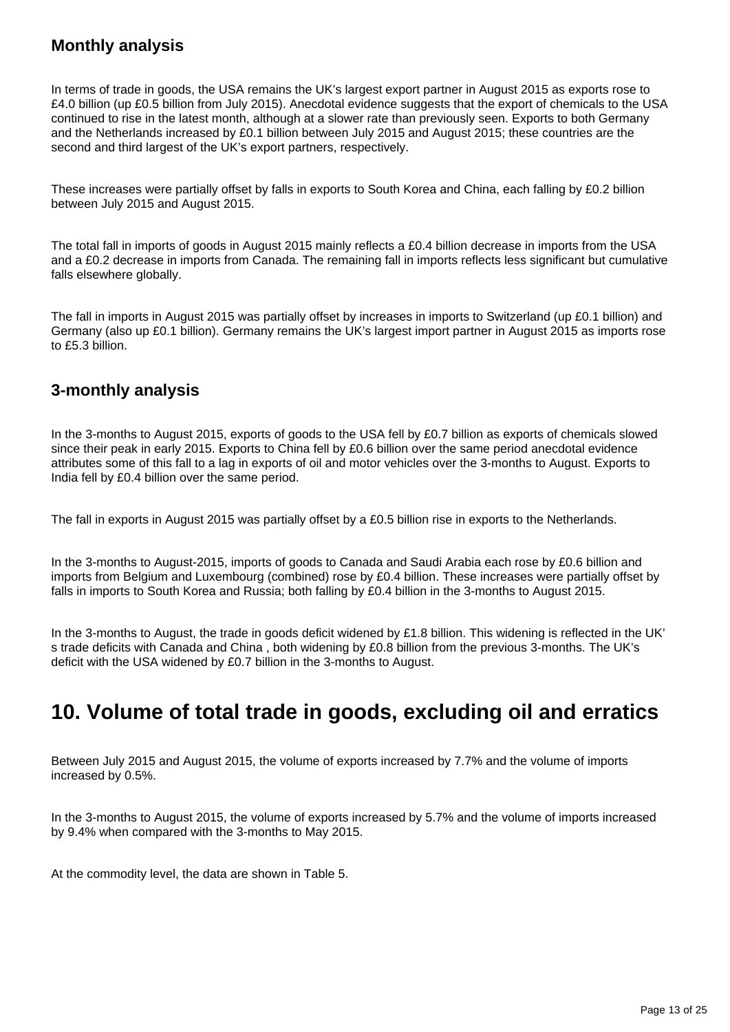## **Monthly analysis**

In terms of trade in goods, the USA remains the UK's largest export partner in August 2015 as exports rose to £4.0 billion (up £0.5 billion from July 2015). Anecdotal evidence suggests that the export of chemicals to the USA continued to rise in the latest month, although at a slower rate than previously seen. Exports to both Germany and the Netherlands increased by £0.1 billion between July 2015 and August 2015; these countries are the second and third largest of the UK's export partners, respectively.

These increases were partially offset by falls in exports to South Korea and China, each falling by £0.2 billion between July 2015 and August 2015.

The total fall in imports of goods in August 2015 mainly reflects a £0.4 billion decrease in imports from the USA and a £0.2 decrease in imports from Canada. The remaining fall in imports reflects less significant but cumulative falls elsewhere globally.

The fall in imports in August 2015 was partially offset by increases in imports to Switzerland (up £0.1 billion) and Germany (also up £0.1 billion). Germany remains the UK's largest import partner in August 2015 as imports rose to £5.3 billion.

## **3-monthly analysis**

In the 3-months to August 2015, exports of goods to the USA fell by £0.7 billion as exports of chemicals slowed since their peak in early 2015. Exports to China fell by £0.6 billion over the same period anecdotal evidence attributes some of this fall to a lag in exports of oil and motor vehicles over the 3-months to August. Exports to India fell by £0.4 billion over the same period.

The fall in exports in August 2015 was partially offset by a £0.5 billion rise in exports to the Netherlands.

In the 3-months to August-2015, imports of goods to Canada and Saudi Arabia each rose by £0.6 billion and imports from Belgium and Luxembourg (combined) rose by £0.4 billion. These increases were partially offset by falls in imports to South Korea and Russia; both falling by £0.4 billion in the 3-months to August 2015.

In the 3-months to August, the trade in goods deficit widened by £1.8 billion. This widening is reflected in the UK' s trade deficits with Canada and China , both widening by £0.8 billion from the previous 3-months. The UK's deficit with the USA widened by £0.7 billion in the 3-months to August.

# <span id="page-12-0"></span>**10. Volume of total trade in goods, excluding oil and erratics**

Between July 2015 and August 2015, the volume of exports increased by 7.7% and the volume of imports increased by 0.5%.

In the 3-months to August 2015, the volume of exports increased by 5.7% and the volume of imports increased by 9.4% when compared with the 3-months to May 2015.

At the commodity level, the data are shown in Table 5.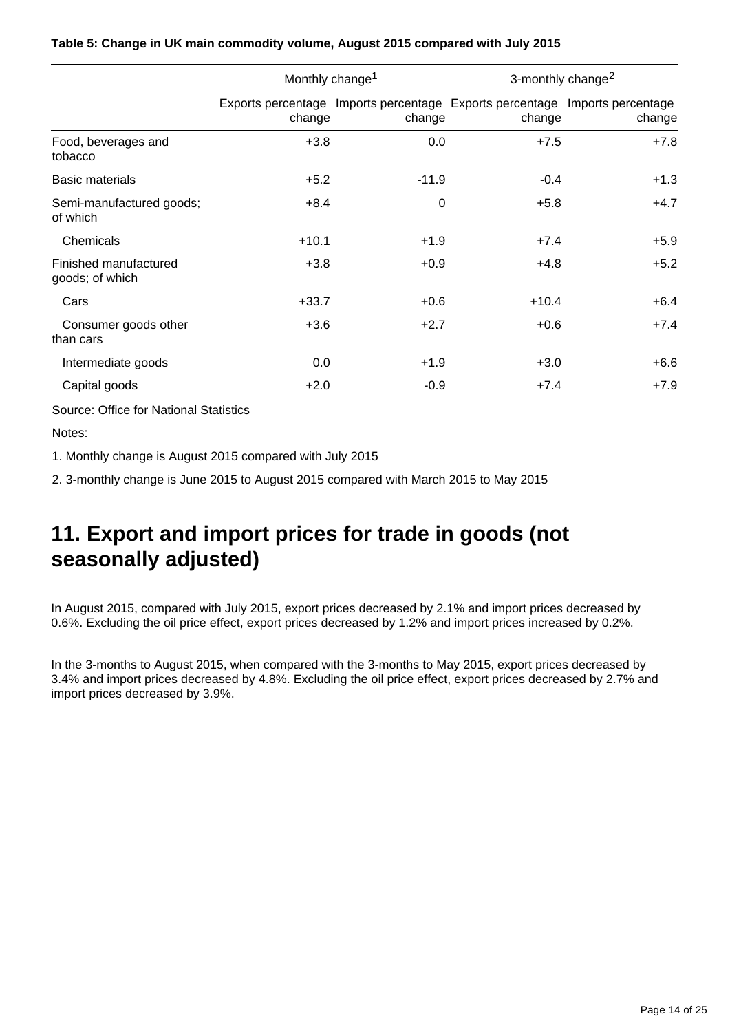|                                          | Monthly change <sup>1</sup> |         | 3-monthly change <sup>2</sup>                                                         |        |  |
|------------------------------------------|-----------------------------|---------|---------------------------------------------------------------------------------------|--------|--|
|                                          | change                      | change  | Exports percentage Imports percentage Exports percentage Imports percentage<br>change | change |  |
| Food, beverages and<br>tobacco           | $+3.8$                      | 0.0     | $+7.5$                                                                                | $+7.8$ |  |
| <b>Basic materials</b>                   | $+5.2$                      | $-11.9$ | $-0.4$                                                                                | $+1.3$ |  |
| Semi-manufactured goods;<br>of which     | $+8.4$                      | 0       | $+5.8$                                                                                | $+4.7$ |  |
| Chemicals                                | $+10.1$                     | $+1.9$  | $+7.4$                                                                                | $+5.9$ |  |
| Finished manufactured<br>goods; of which | $+3.8$                      | $+0.9$  | $+4.8$                                                                                | $+5.2$ |  |
| Cars                                     | $+33.7$                     | $+0.6$  | $+10.4$                                                                               | $+6.4$ |  |
| Consumer goods other<br>than cars        | $+3.6$                      | $+2.7$  | $+0.6$                                                                                | $+7.4$ |  |
| Intermediate goods                       | 0.0                         | $+1.9$  | $+3.0$                                                                                | $+6.6$ |  |
| Capital goods                            | $+2.0$                      | $-0.9$  | $+7.4$                                                                                | $+7.9$ |  |

### **Table 5: Change in UK main commodity volume, August 2015 compared with July 2015**

Source: Office for National Statistics

Notes:

1. Monthly change is August 2015 compared with July 2015

2. 3-monthly change is June 2015 to August 2015 compared with March 2015 to May 2015

# <span id="page-13-0"></span>**11. Export and import prices for trade in goods (not seasonally adjusted)**

In August 2015, compared with July 2015, export prices decreased by 2.1% and import prices decreased by 0.6%. Excluding the oil price effect, export prices decreased by 1.2% and import prices increased by 0.2%.

In the 3-months to August 2015, when compared with the 3-months to May 2015, export prices decreased by 3.4% and import prices decreased by 4.8%. Excluding the oil price effect, export prices decreased by 2.7% and import prices decreased by 3.9%.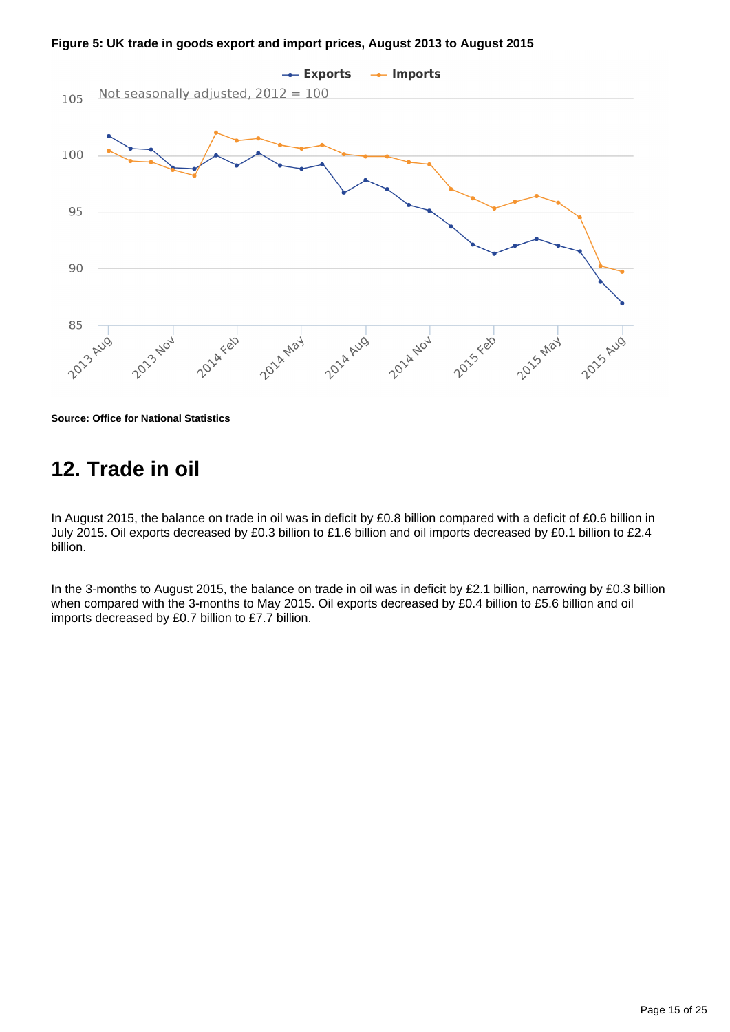

**Figure 5: UK trade in goods export and import prices, August 2013 to August 2015**

**Source: Office for National Statistics**

# <span id="page-14-0"></span>**12. Trade in oil**

In August 2015, the balance on trade in oil was in deficit by £0.8 billion compared with a deficit of £0.6 billion in July 2015. Oil exports decreased by £0.3 billion to £1.6 billion and oil imports decreased by £0.1 billion to £2.4 billion.

In the 3-months to August 2015, the balance on trade in oil was in deficit by £2.1 billion, narrowing by £0.3 billion when compared with the 3-months to May 2015. Oil exports decreased by £0.4 billion to £5.6 billion and oil imports decreased by £0.7 billion to £7.7 billion.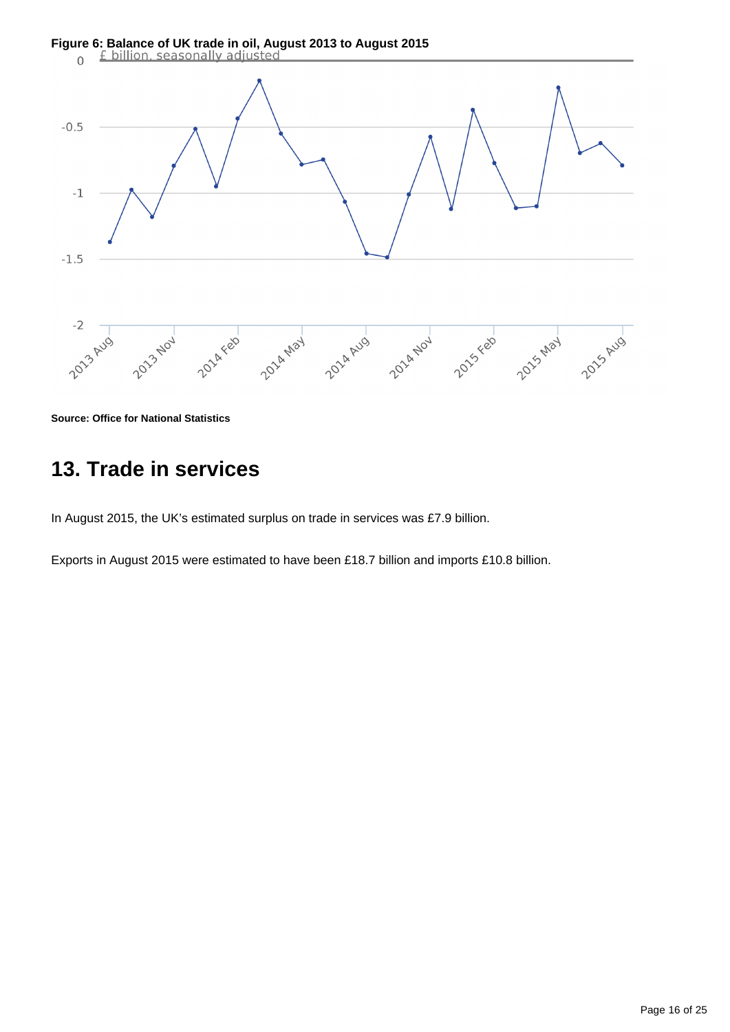

**Source: Office for National Statistics**

# <span id="page-15-0"></span>**13. Trade in services**

In August 2015, the UK's estimated surplus on trade in services was £7.9 billion.

Exports in August 2015 were estimated to have been £18.7 billion and imports £10.8 billion.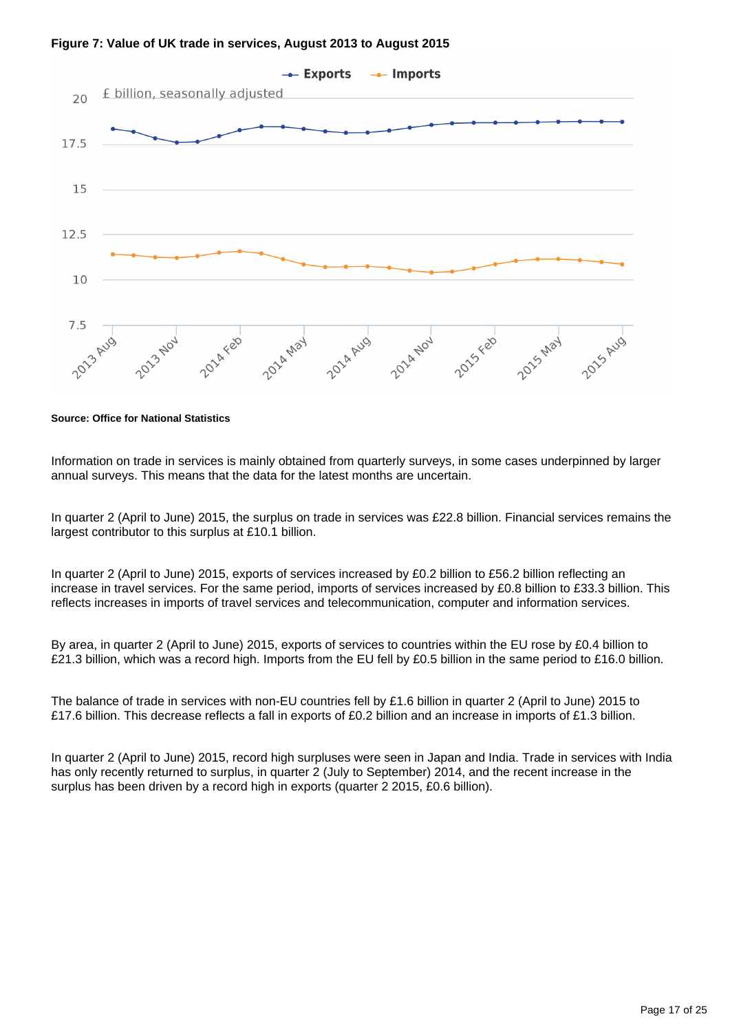



**Source: Office for National Statistics**

Information on trade in services is mainly obtained from quarterly surveys, in some cases underpinned by larger annual surveys. This means that the data for the latest months are uncertain.

In quarter 2 (April to June) 2015, the surplus on trade in services was £22.8 billion. Financial services remains the largest contributor to this surplus at £10.1 billion.

In quarter 2 (April to June) 2015, exports of services increased by £0.2 billion to £56.2 billion reflecting an increase in travel services. For the same period, imports of services increased by £0.8 billion to £33.3 billion. This reflects increases in imports of travel services and telecommunication, computer and information services.

By area, in quarter 2 (April to June) 2015, exports of services to countries within the EU rose by £0.4 billion to £21.3 billion, which was a record high. Imports from the EU fell by £0.5 billion in the same period to £16.0 billion.

The balance of trade in services with non-EU countries fell by £1.6 billion in quarter 2 (April to June) 2015 to £17.6 billion. This decrease reflects a fall in exports of £0.2 billion and an increase in imports of £1.3 billion.

In quarter 2 (April to June) 2015, record high surpluses were seen in Japan and India. Trade in services with India has only recently returned to surplus, in quarter 2 (July to September) 2014, and the recent increase in the surplus has been driven by a record high in exports (quarter 2 2015, £0.6 billion).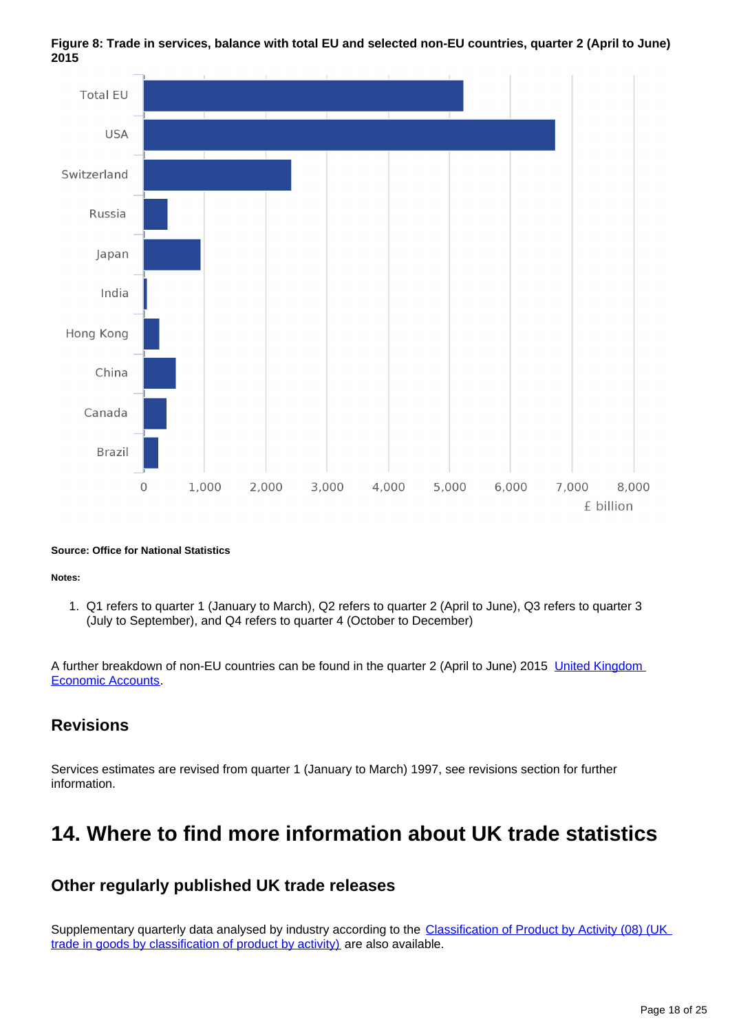

**Figure 8: Trade in services, balance with total EU and selected non-EU countries, quarter 2 (April to June) 2015**

#### **Source: Office for National Statistics**

#### **Notes:**

1. Q1 refers to quarter 1 (January to March), Q2 refers to quarter 2 (April to June), Q3 refers to quarter 3 (July to September), and Q4 refers to quarter 4 (October to December)

A further breakdown of non-EU countries can be found in the quarter 2 (April to June) 2015 [United Kingdom](http://www.ons.gov.uk/ons/rel/naa1-rd/united-kingdom-economic-accounts/q2-2015/index.html?format=contrast)  [Economic Accounts.](http://www.ons.gov.uk/ons/rel/naa1-rd/united-kingdom-economic-accounts/q2-2015/index.html?format=contrast)

### **Revisions**

Services estimates are revised from quarter 1 (January to March) 1997, see revisions section for further information.

# <span id="page-17-0"></span>**14. Where to find more information about UK trade statistics**

### **Other regularly published UK trade releases**

Supplementary quarterly data analysed by industry according to the Classification of Product by Activity (08) (UK [trade in goods by classification of product by activity\)](http://www.ons.gov.uk/ons/rel/uktrade/uk-trade-in-goods-analysed-in-terms-of-industry/q2-2015/stb---uk-trade.html?format=contrast) are also available.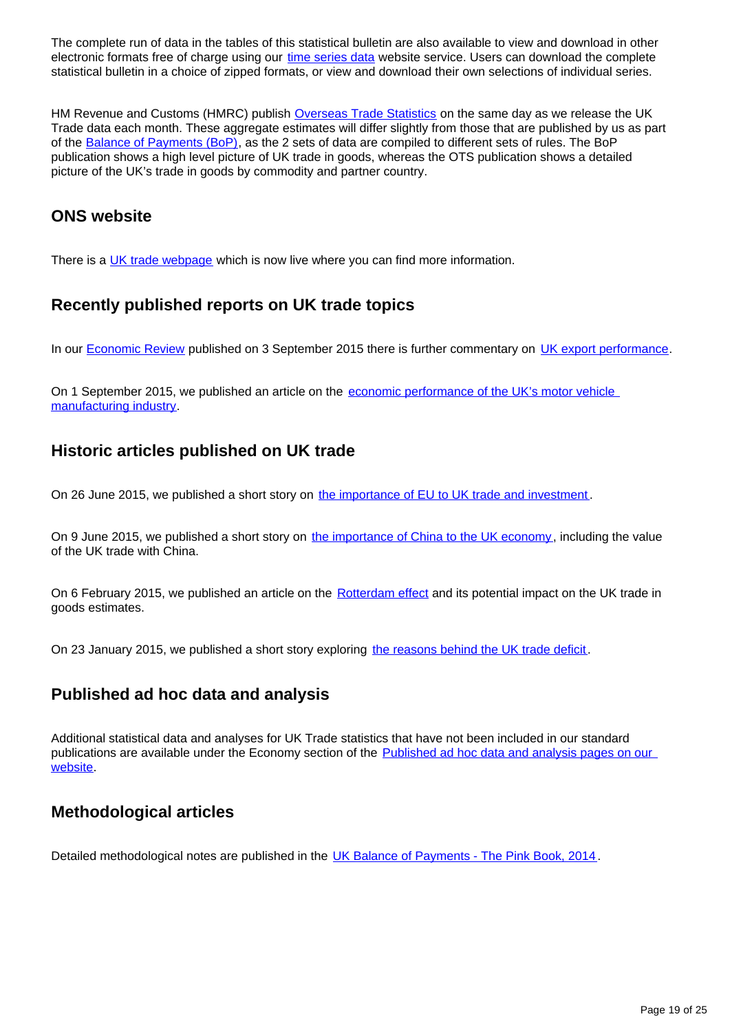The complete run of data in the tables of this statistical bulletin are also available to view and download in other electronic formats free of charge using our [time series data](http://www.ons.gov.uk/ons/rel/uktrade/uk-trade/august-2015/tsd-time-series-data--trade-in-goods-mrets--august-2015.html?format=contrast) website service. Users can download the complete statistical bulletin in a choice of zipped formats, or view and download their own selections of individual series.

HM Revenue and Customs (HMRC) publish [Overseas Trade Statistics](https://www.uktradeinfo.com/Statistics/Pages/MonthlyTimetableofReleases.aspx) on the same day as we release the UK Trade data each month. These aggregate estimates will differ slightly from those that are published by us as part of the [Balance of Payments \(BoP\)](http://www.ons.gov.uk/ons/rel/bop/united-kingdom-balance-of-payments/2014/index.html?format=contrast), as the 2 sets of data are compiled to different sets of rules. The BoP publication shows a high level picture of UK trade in goods, whereas the OTS publication shows a detailed picture of the UK's trade in goods by commodity and partner country.

## **ONS website**

There is a [UK trade webpage](http://www.ons.gov.uk/ons/guide-method/method-quality/specific/economy/uk-trade/index.html?format=contrast) which is now live where you can find more information.

## **Recently published reports on UK trade topics**

In our **[Economic Review](http://www.ons.gov.uk/ons/rel/elmr/economic-review/september-2015/art---economic-review-sept-2015.html?format=contrast) published on 3 September 2015 there is further commentary on UK export performance**.

On 1 September 2015, we published an article on the economic performance of the UK's motor vehicle [manufacturing industry](http://www.ons.gov.uk/ons/rel/abs/annual-business-survey/car-production/sty-car.html?format=contrast).

## **Historic articles published on UK trade**

On 26 June 2015, we published a short story on [the importance of EU to UK trade and investment](http://www.ons.gov.uk/ons/rel/international-transactions/outward-foreign-affiliates-statistics/how-important-is-the-european-union-to-uk-trade-and-investment-/index.html?format=contrast) .

On 9 June 2015, we published a short story on [the importance of China to the UK economy](http://www.ons.gov.uk/ons/rel/international-transactions/outward-foreign-affiliates-statistics/how-important-is-china-to-the-uk-economy-/index.html?format=contrast), including the value of the UK trade with China.

On 6 February 2015, we published an article on the [Rotterdam effect](http://www.ons.gov.uk/ons/rel/uktrade/uk-trade/december-2014/sty-trade-rotterdam-effect-.html?format=contrast) and its potential impact on the UK trade in goods estimates.

On 23 January 2015, we published a short story exploring [the reasons behind the UK trade deficit](http://www.ons.gov.uk/ons/rel/uktrade/uk-trade/november-2014/sty-record-trade-surplus-in-services-partly-offsets-record-trade-deficit-on-goods.html?format=contrast).

## **Published ad hoc data and analysis**

Additional statistical data and analyses for UK Trade statistics that have not been included in our standard publications are available under the Economy section of the [Published ad hoc data and analysis pages on our](http://www.ons.gov.uk/ons/about-ons/business-transparency/freedom-of-information/what-can-i-request/published-ad-hoc-data/econ/index.html?format=contrast)  [website](http://www.ons.gov.uk/ons/about-ons/business-transparency/freedom-of-information/what-can-i-request/published-ad-hoc-data/econ/index.html?format=contrast).

## **Methodological articles**

Detailed methodological notes are published in the [UK Balance of Payments - The Pink Book, 2014](http://www.ons.gov.uk/ons/rel/bop/united-kingdom-balance-of-payments/2014/index.html?format=contrast) .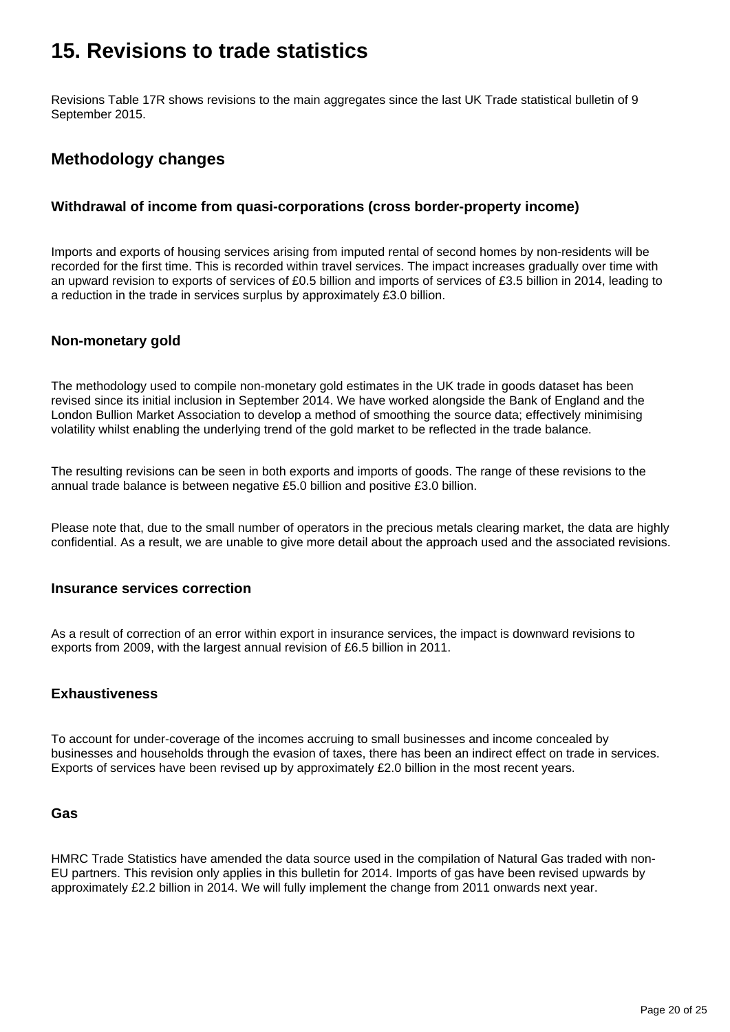# <span id="page-19-0"></span>**15. Revisions to trade statistics**

Revisions Table 17R shows revisions to the main aggregates since the last UK Trade statistical bulletin of 9 September 2015.

## **Methodology changes**

### **Withdrawal of income from quasi-corporations (cross border-property income)**

Imports and exports of housing services arising from imputed rental of second homes by non-residents will be recorded for the first time. This is recorded within travel services. The impact increases gradually over time with an upward revision to exports of services of £0.5 billion and imports of services of £3.5 billion in 2014, leading to a reduction in the trade in services surplus by approximately £3.0 billion.

### **Non-monetary gold**

The methodology used to compile non-monetary gold estimates in the UK trade in goods dataset has been revised since its initial inclusion in September 2014. We have worked alongside the Bank of England and the London Bullion Market Association to develop a method of smoothing the source data; effectively minimising volatility whilst enabling the underlying trend of the gold market to be reflected in the trade balance.

The resulting revisions can be seen in both exports and imports of goods. The range of these revisions to the annual trade balance is between negative £5.0 billion and positive £3.0 billion.

Please note that, due to the small number of operators in the precious metals clearing market, the data are highly confidential. As a result, we are unable to give more detail about the approach used and the associated revisions.

### **Insurance services correction**

As a result of correction of an error within export in insurance services, the impact is downward revisions to exports from 2009, with the largest annual revision of £6.5 billion in 2011.

### **Exhaustiveness**

To account for under-coverage of the incomes accruing to small businesses and income concealed by businesses and households through the evasion of taxes, there has been an indirect effect on trade in services. Exports of services have been revised up by approximately £2.0 billion in the most recent years.

### **Gas**

HMRC Trade Statistics have amended the data source used in the compilation of Natural Gas traded with non-EU partners. This revision only applies in this bulletin for 2014. Imports of gas have been revised upwards by approximately £2.2 billion in 2014. We will fully implement the change from 2011 onwards next year.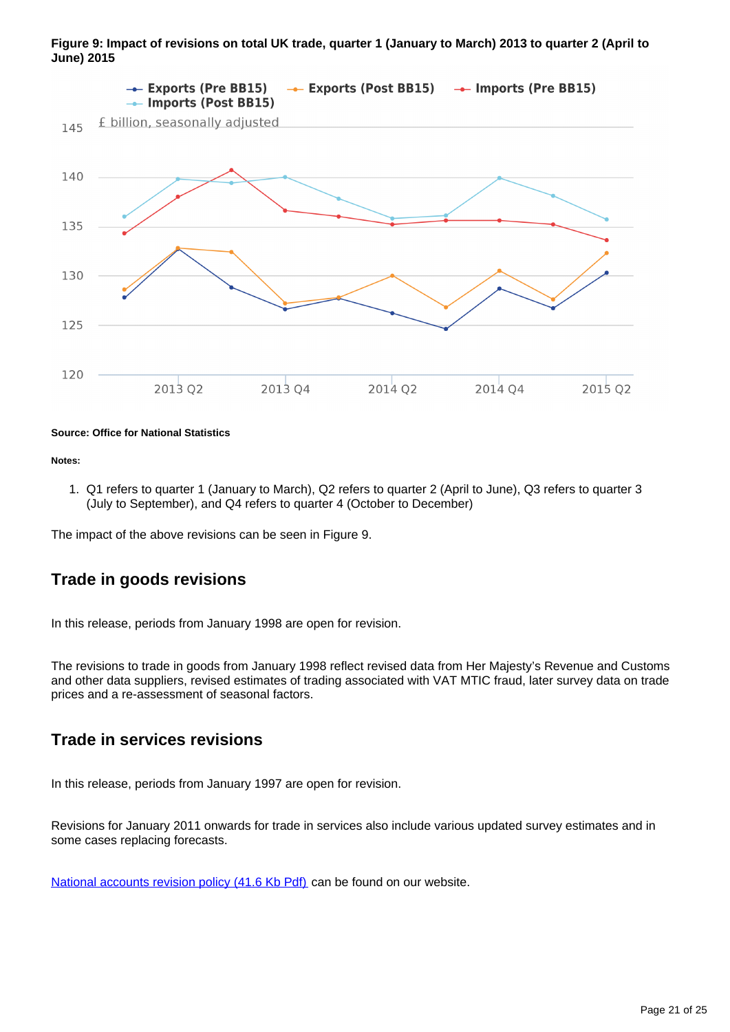

**Figure 9: Impact of revisions on total UK trade, quarter 1 (January to March) 2013 to quarter 2 (April to June) 2015**

#### **Source: Office for National Statistics**

**Notes:**

1. Q1 refers to quarter 1 (January to March), Q2 refers to quarter 2 (April to June), Q3 refers to quarter 3 (July to September), and Q4 refers to quarter 4 (October to December)

The impact of the above revisions can be seen in Figure 9.

### **Trade in goods revisions**

In this release, periods from January 1998 are open for revision.

The revisions to trade in goods from January 1998 reflect revised data from Her Majesty's Revenue and Customs and other data suppliers, revised estimates of trading associated with VAT MTIC fraud, later survey data on trade prices and a re-assessment of seasonal factors.

### **Trade in services revisions**

In this release, periods from January 1997 are open for revision.

Revisions for January 2011 onwards for trade in services also include various updated survey estimates and in some cases replacing forecasts.

[National accounts revision policy \(41.6 Kb Pdf\)](http://www.ons.gov.uk/ons/guide-method/revisions/revisions-policies-by-theme/economy/national-accounts-revisions-policy.pdf?format=contrast) can be found on our website.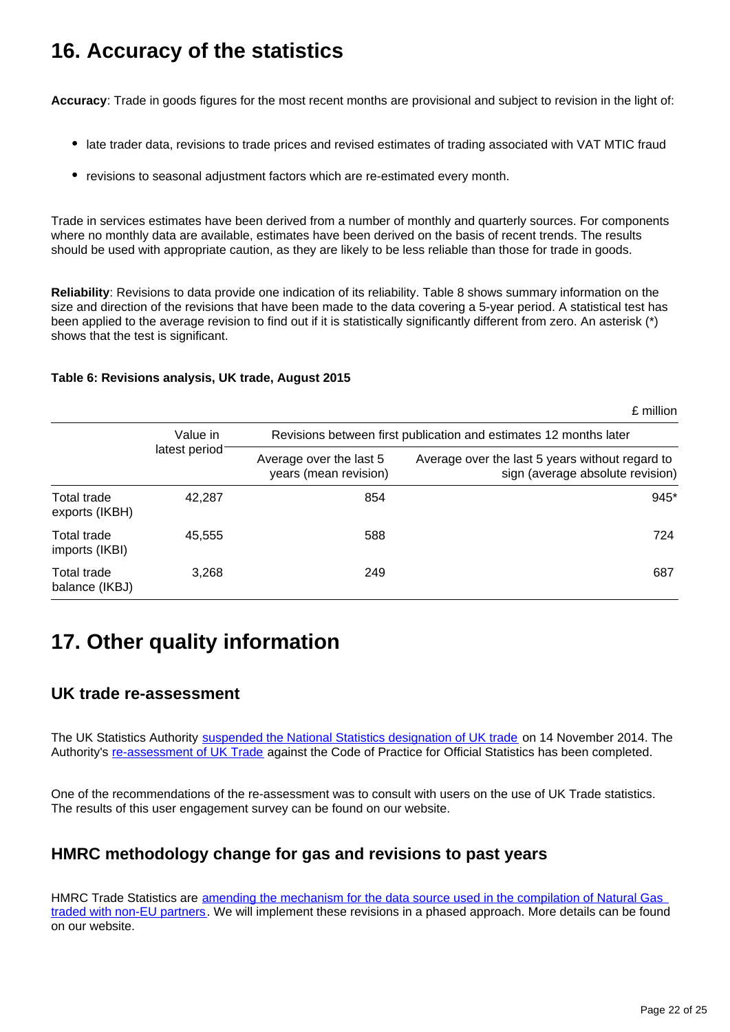# <span id="page-21-0"></span>**16. Accuracy of the statistics**

**Accuracy**: Trade in goods figures for the most recent months are provisional and subject to revision in the light of:

- late trader data, revisions to trade prices and revised estimates of trading associated with VAT MTIC fraud
- revisions to seasonal adjustment factors which are re-estimated every month.

Trade in services estimates have been derived from a number of monthly and quarterly sources. For components where no monthly data are available, estimates have been derived on the basis of recent trends. The results should be used with appropriate caution, as they are likely to be less reliable than those for trade in goods.

**Reliability**: Revisions to data provide one indication of its reliability. Table 8 shows summary information on the size and direction of the revisions that have been made to the data covering a 5-year period. A statistical test has been applied to the average revision to find out if it is statistically significantly different from zero. An asterisk (\*) shows that the test is significant.

### **Table 6: Revisions analysis, UK trade, August 2015**

|  |  | £ million |
|--|--|-----------|
|  |  |           |

|                               | Value in<br>latest period | Revisions between first publication and estimates 12 months later |                                                                                     |  |  |
|-------------------------------|---------------------------|-------------------------------------------------------------------|-------------------------------------------------------------------------------------|--|--|
|                               |                           | Average over the last 5<br>years (mean revision)                  | Average over the last 5 years without regard to<br>sign (average absolute revision) |  |  |
| Total trade<br>exports (IKBH) | 42,287                    | 854                                                               | 945*                                                                                |  |  |
| Total trade<br>imports (IKBI) | 45,555                    | 588                                                               | 724                                                                                 |  |  |
| Total trade<br>balance (IKBJ) | 3,268                     | 249                                                               | 687                                                                                 |  |  |

# <span id="page-21-1"></span>**17. Other quality information**

### **UK trade re-assessment**

The UK Statistics Authority [suspended the National Statistics designation of UK trade](http://www.statisticsauthority.gov.uk/reports---correspondence/correspondence/letter-from-sir-andrew-dilnot-to-john-pullinger-141114.pdf) on 14 November 2014. The Authority's [re-assessment of UK Trade](http://www.statisticsauthority.gov.uk/assessment/assessment/assessment-reports/index.html) against the Code of Practice for Official Statistics has been completed.

One of the recommendations of the re-assessment was to consult with users on the use of UK Trade statistics. The results of this user engagement survey can be found on our website.

## **HMRC methodology change for gas and revisions to past years**

HMRC Trade Statistics are [amending the mechanism for the data source used in the compilation of Natural Gas](http://www.ons.gov.uk/ons/rel/uktrade/uk-trade/may-2015/information-note--hmrc-methodology-changes-and-revisions-to-gas.html?format=contrast)  [traded with non-EU partners.](http://www.ons.gov.uk/ons/rel/uktrade/uk-trade/may-2015/information-note--hmrc-methodology-changes-and-revisions-to-gas.html?format=contrast) We will implement these revisions in a phased approach. More details can be found on our website.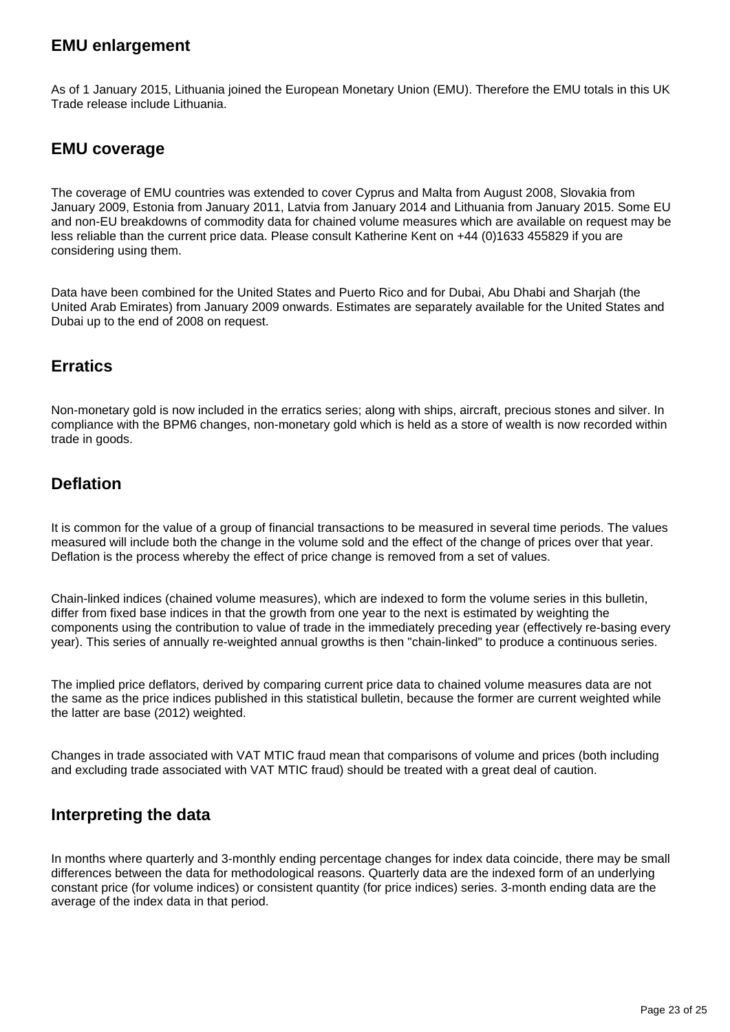## **EMU enlargement**

As of 1 January 2015, Lithuania joined the European Monetary Union (EMU). Therefore the EMU totals in this UK Trade release include Lithuania.

### **EMU coverage**

The coverage of EMU countries was extended to cover Cyprus and Malta from August 2008, Slovakia from January 2009, Estonia from January 2011, Latvia from January 2014 and Lithuania from January 2015. Some EU and non-EU breakdowns of commodity data for chained volume measures which are available on request may be less reliable than the current price data. Please consult Katherine Kent on +44 (0)1633 455829 if you are considering using them.

Data have been combined for the United States and Puerto Rico and for Dubai, Abu Dhabi and Sharjah (the United Arab Emirates) from January 2009 onwards. Estimates are separately available for the United States and Dubai up to the end of 2008 on request.

## **Erratics**

Non-monetary gold is now included in the erratics series; along with ships, aircraft, precious stones and silver. In compliance with the BPM6 changes, non-monetary gold which is held as a store of wealth is now recorded within trade in goods.

## **Deflation**

It is common for the value of a group of financial transactions to be measured in several time periods. The values measured will include both the change in the volume sold and the effect of the change of prices over that year. Deflation is the process whereby the effect of price change is removed from a set of values.

Chain-linked indices (chained volume measures), which are indexed to form the volume series in this bulletin, differ from fixed base indices in that the growth from one year to the next is estimated by weighting the components using the contribution to value of trade in the immediately preceding year (effectively re-basing every year). This series of annually re-weighted annual growths is then "chain-linked" to produce a continuous series.

The implied price deflators, derived by comparing current price data to chained volume measures data are not the same as the price indices published in this statistical bulletin, because the former are current weighted while the latter are base (2012) weighted.

Changes in trade associated with VAT MTIC fraud mean that comparisons of volume and prices (both including and excluding trade associated with VAT MTIC fraud) should be treated with a great deal of caution.

## **Interpreting the data**

In months where quarterly and 3-monthly ending percentage changes for index data coincide, there may be small differences between the data for methodological reasons. Quarterly data are the indexed form of an underlying constant price (for volume indices) or consistent quantity (for price indices) series. 3-month ending data are the average of the index data in that period.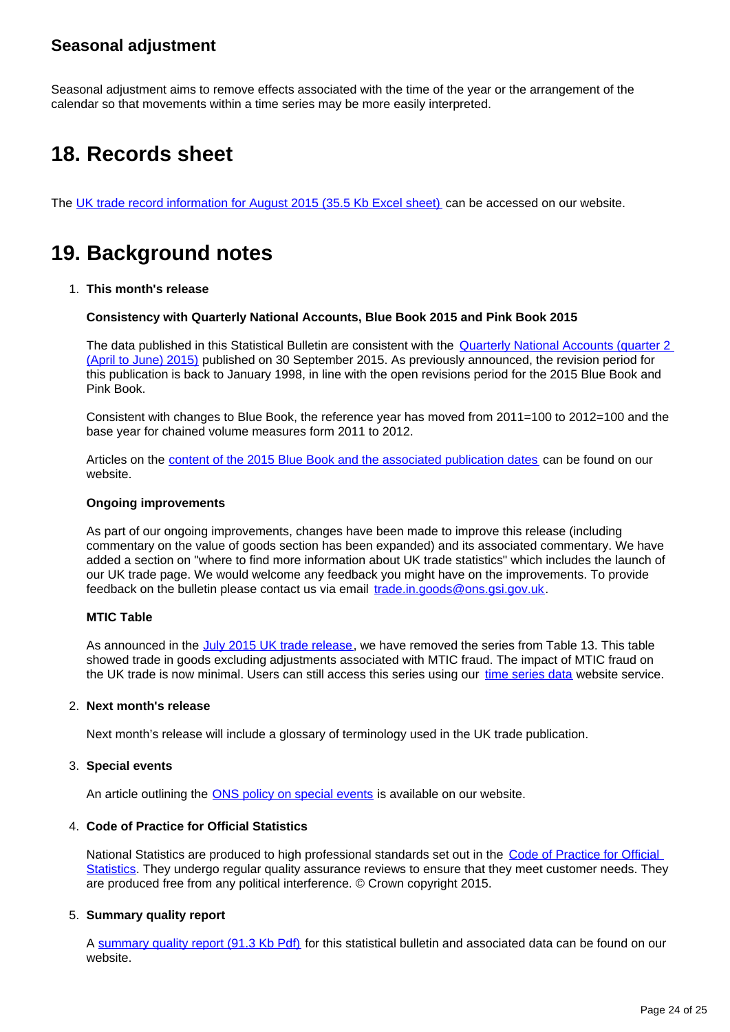## **Seasonal adjustment**

Seasonal adjustment aims to remove effects associated with the time of the year or the arrangement of the calendar so that movements within a time series may be more easily interpreted.

# <span id="page-23-0"></span>**18. Records sheet**

The [UK trade record information for August 2015 \(35.5 Kb Excel sheet\)](http://www.ons.gov.uk/ons/rel/uktrade/uk-trade/august-2015/rft-records-sheet.xls?format=contrast) can be accessed on our website.

# <span id="page-23-1"></span>**19. Background notes**

1. **This month's release**

**Consistency with Quarterly National Accounts, Blue Book 2015 and Pink Book 2015**

The data published in this Statistical Bulletin are consistent with the [Quarterly National Accounts \(quarter 2](http://www.ons.gov.uk/ons/rel/naa2/quarterly-national-accounts/q2-2015/qna-stb.html?format=contrast)  [\(April to June\) 2015\)](http://www.ons.gov.uk/ons/rel/naa2/quarterly-national-accounts/q2-2015/qna-stb.html?format=contrast) published on 30 September 2015. As previously announced, the revision period for this publication is back to January 1998, in line with the open revisions period for the 2015 Blue Book and Pink Book.

Consistent with changes to Blue Book, the reference year has moved from 2011=100 to 2012=100 and the base year for chained volume measures form 2011 to 2012.

Articles on the [content of the 2015 Blue Book and the associated publication dates](http://www.ons.gov.uk/ons/rel/naa1-rd/national-accounts-articles/index.html?format=contrast) can be found on our website.

#### **Ongoing improvements**

As part of our ongoing improvements, changes have been made to improve this release (including commentary on the value of goods section has been expanded) and its associated commentary. We have added a section on "where to find more information about UK trade statistics" which includes the launch of our UK trade page. We would welcome any feedback you might have on the improvements. To provide feedback on the bulletin please contact us via email trade.in.goods@ons.gsi.gov.uk.

### **MTIC Table**

As announced in the [July 2015 UK trade release](http://www.ons.gov.uk/ons/rel/uktrade/uk-trade/july-2015/index.html?format=contrast), we have removed the series from Table 13. This table showed trade in goods excluding adjustments associated with MTIC fraud. The impact of MTIC fraud on the UK trade is now minimal. Users can still access this series using our [time series data](http://www.ons.gov.uk/ons/rel/uktrade/uk-trade/august-2015/tsd-time-series-data--trade-in-goods-mrets--august-2015.html?format=contrast) website service.

#### 2. **Next month's release**

Next month's release will include a glossary of terminology used in the UK trade publication.

#### 3. **Special events**

An article outlining the **[ONS policy on special events](http://www.ons.gov.uk/ons/guide-method/method-quality/general-methodology/special-events-group/index.html?format=contrast)** is available on our website.

#### 4. **Code of Practice for Official Statistics**

National Statistics are produced to high professional standards set out in the Code of Practice for Official [Statistics](http://www.ons.gov.uk/ons/guide-method/the-national-statistics-standard/code-of-practice/index.html?format=contrast). They undergo regular quality assurance reviews to ensure that they meet customer needs. They are produced free from any political interference. © Crown copyright 2015.

### 5. **Summary quality report**

A [summary quality report \(91.3 Kb Pdf\)](http://www.ons.gov.uk/ons/guide-method/method-quality/quality/quality-information/economy/summary-quality-report-for-uk-trade.pdf?format=contrast) for this statistical bulletin and associated data can be found on our website.